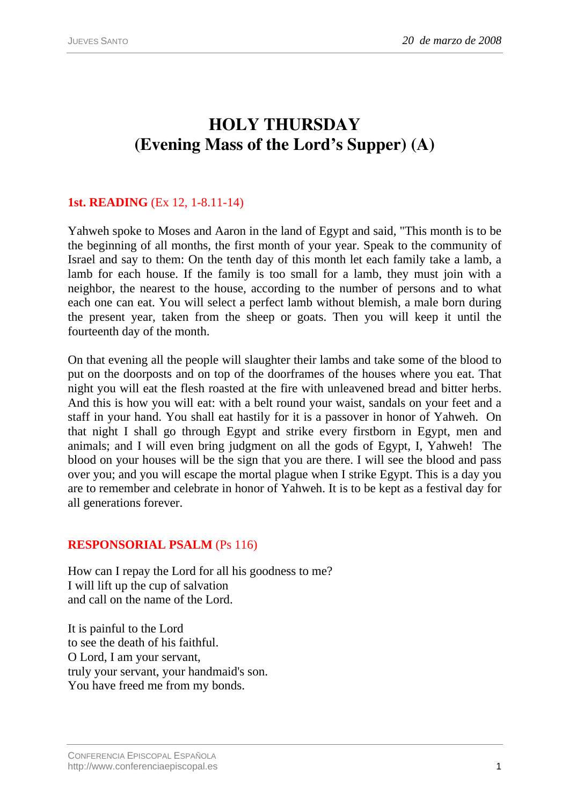# **HOLY THURSDAY (Evening Mass of the Lord's Supper) (A)**

## **1st. READING** (Ex 12, 1-8.11-14)

Yahweh spoke to Moses and Aaron in the land of Egypt and said, "This month is to be the beginning of all months, the first month of your year. Speak to the community of Israel and say to them: On the tenth day of this month let each family take a lamb, a lamb for each house. If the family is too small for a lamb, they must join with a neighbor, the nearest to the house, according to the number of persons and to what each one can eat. You will select a perfect lamb without blemish, a male born during the present year, taken from the sheep or goats. Then you will keep it until the fourteenth day of the month.

On that evening all the people will slaughter their lambs and take some of the blood to put on the doorposts and on top of the doorframes of the houses where you eat. That night you will eat the flesh roasted at the fire with unleavened bread and bitter herbs. And this is how you will eat: with a belt round your waist, sandals on your feet and a staff in your hand. You shall eat hastily for it is a passover in honor of Yahweh. On that night I shall go through Egypt and strike every firstborn in Egypt, men and animals; and I will even bring judgment on all the gods of Egypt, I, Yahweh! The blood on your houses will be the sign that you are there. I will see the blood and pass over you; and you will escape the mortal plague when I strike Egypt. This is a day you are to remember and celebrate in honor of Yahweh. It is to be kept as a festival day for all generations forever.

#### **RESPONSORIAL PSALM** (Ps 116)

How can I repay the Lord for all his goodness to me? I will lift up the cup of salvation and call on the name of the Lord.

It is painful to the Lord to see the death of his faithful. O Lord, I am your servant, truly your servant, your handmaid's son. You have freed me from my bonds.